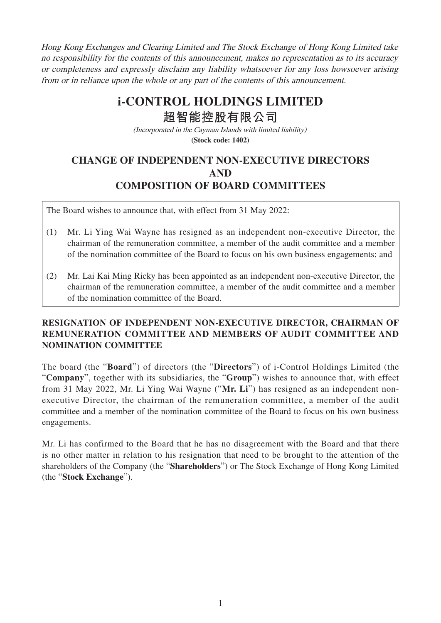Hong Kong Exchanges and Clearing Limited and The Stock Exchange of Hong Kong Limited take no responsibility for the contents of this announcement, makes no representation as to its accuracy or completeness and expressly disclaim any liability whatsoever for any loss howsoever arising from or in reliance upon the whole or any part of the contents of this announcement.

## **i-CONTROL HOLDINGS LIMITED**

**超智能控股有限公司**

(Incorporated in the Cayman Islands with limited liability) **(Stock code: 1402)**

## **CHANGE OF INDEPENDENT NON-EXECUTIVE DIRECTORS AND COMPOSITION OF BOARD COMMITTEES**

The Board wishes to announce that, with effect from 31 May 2022:

- (1) Mr. Li Ying Wai Wayne has resigned as an independent non-executive Director, the chairman of the remuneration committee, a member of the audit committee and a member of the nomination committee of the Board to focus on his own business engagements; and
- (2) Mr. Lai Kai Ming Ricky has been appointed as an independent non-executive Director, the chairman of the remuneration committee, a member of the audit committee and a member of the nomination committee of the Board.

## **RESIGNATION OF INDEPENDENT NON-EXECUTIVE DIRECTOR, CHAIRMAN OF REMUNERATION COMMITTEE AND MEMBERS OF AUDIT COMMITTEE AND NOMINATION COMMITTEE**

The board (the "**Board**") of directors (the "**Directors**") of i-Control Holdings Limited (the "**Company**", together with its subsidiaries, the "**Group**") wishes to announce that, with effect from 31 May 2022, Mr. Li Ying Wai Wayne ("**Mr. Li**") has resigned as an independent nonexecutive Director, the chairman of the remuneration committee, a member of the audit committee and a member of the nomination committee of the Board to focus on his own business engagements.

Mr. Li has confirmed to the Board that he has no disagreement with the Board and that there is no other matter in relation to his resignation that need to be brought to the attention of the shareholders of the Company (the "**Shareholders**") or The Stock Exchange of Hong Kong Limited (the "**Stock Exchange**").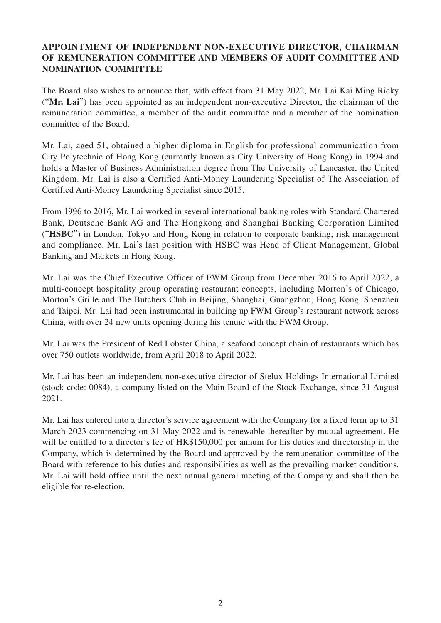## **APPOINTMENT OF INDEPENDENT NON-EXECUTIVE DIRECTOR, CHAIRMAN OF REMUNERATION COMMITTEE AND MEMBERS OF AUDIT COMMITTEE AND NOMINATION COMMITTEE**

The Board also wishes to announce that, with effect from 31 May 2022, Mr. Lai Kai Ming Ricky ("**Mr. Lai**") has been appointed as an independent non-executive Director, the chairman of the remuneration committee, a member of the audit committee and a member of the nomination committee of the Board.

Mr. Lai, aged 51, obtained a higher diploma in English for professional communication from City Polytechnic of Hong Kong (currently known as City University of Hong Kong) in 1994 and holds a Master of Business Administration degree from The University of Lancaster, the United Kingdom. Mr. Lai is also a Certified Anti-Money Laundering Specialist of The Association of Certified Anti-Money Laundering Specialist since 2015.

From 1996 to 2016, Mr. Lai worked in several international banking roles with Standard Chartered Bank, Deutsche Bank AG and The Hongkong and Shanghai Banking Corporation Limited ("**HSBC**") in London, Tokyo and Hong Kong in relation to corporate banking, risk management and compliance. Mr. Lai's last position with HSBC was Head of Client Management, Global Banking and Markets in Hong Kong.

Mr. Lai was the Chief Executive Officer of FWM Group from December 2016 to April 2022, a multi-concept hospitality group operating restaurant concepts, including Morton's of Chicago, Morton's Grille and The Butchers Club in Beijing, Shanghai, Guangzhou, Hong Kong, Shenzhen and Taipei. Mr. Lai had been instrumental in building up FWM Group's restaurant network across China, with over 24 new units opening during his tenure with the FWM Group.

Mr. Lai was the President of Red Lobster China, a seafood concept chain of restaurants which has over 750 outlets worldwide, from April 2018 to April 2022.

Mr. Lai has been an independent non-executive director of Stelux Holdings International Limited (stock code: 0084), a company listed on the Main Board of the Stock Exchange, since 31 August 2021.

Mr. Lai has entered into a director's service agreement with the Company for a fixed term up to 31 March 2023 commencing on 31 May 2022 and is renewable thereafter by mutual agreement. He will be entitled to a director's fee of HK\$150,000 per annum for his duties and directorship in the Company, which is determined by the Board and approved by the remuneration committee of the Board with reference to his duties and responsibilities as well as the prevailing market conditions. Mr. Lai will hold office until the next annual general meeting of the Company and shall then be eligible for re-election.